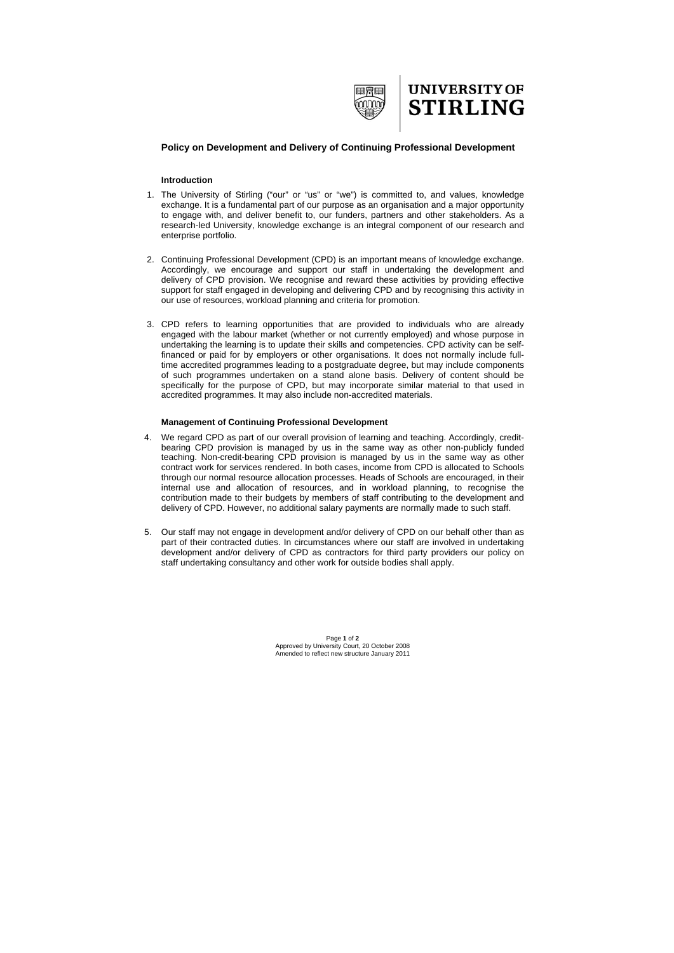

## **UNIVERSITY OF STIRLING**

## **Policy on Development and Delivery of Continuing Professional Development**

## **Introduction**

- 1. The University of Stirling ("our" or "us" or "we") is committed to, and values, knowledge exchange. It is a fundamental part of our purpose as an organisation and a major opportunity to engage with, and deliver benefit to, our funders, partners and other stakeholders. As a research-led University, knowledge exchange is an integral component of our research and enterprise portfolio.
- 2. Continuing Professional Development (CPD) is an important means of knowledge exchange. Accordingly, we encourage and support our staff in undertaking the development and delivery of CPD provision. We recognise and reward these activities by providing effective support for staff engaged in developing and delivering CPD and by recognising this activity in our use of resources, workload planning and criteria for promotion.
- 3. CPD refers to learning opportunities that are provided to individuals who are already engaged with the labour market (whether or not currently employed) and whose purpose in undertaking the learning is to update their skills and competencies. CPD activity can be selffinanced or paid for by employers or other organisations. It does not normally include fulltime accredited programmes leading to a postgraduate degree, but may include components of such programmes undertaken on a stand alone basis. Delivery of content should be specifically for the purpose of CPD, but may incorporate similar material to that used in accredited programmes. It may also include non-accredited materials.

## **Management of Continuing Professional Development**

- 4. We regard CPD as part of our overall provision of learning and teaching. Accordingly, creditbearing CPD provision is managed by us in the same way as other non-publicly funded teaching. Non-credit-bearing CPD provision is managed by us in the same way as other contract work for services rendered. In both cases, income from CPD is allocated to Schools through our normal resource allocation processes. Heads of Schools are encouraged, in their internal use and allocation of resources, and in workload planning, to recognise the contribution made to their budgets by members of staff contributing to the development and delivery of CPD. However, no additional salary payments are normally made to such staff.
- 5. Our staff may not engage in development and/or delivery of CPD on our behalf other than as part of their contracted duties. In circumstances where our staff are involved in undertaking development and/or delivery of CPD as contractors for third party providers our policy on staff undertaking consultancy and other work for outside bodies shall apply.